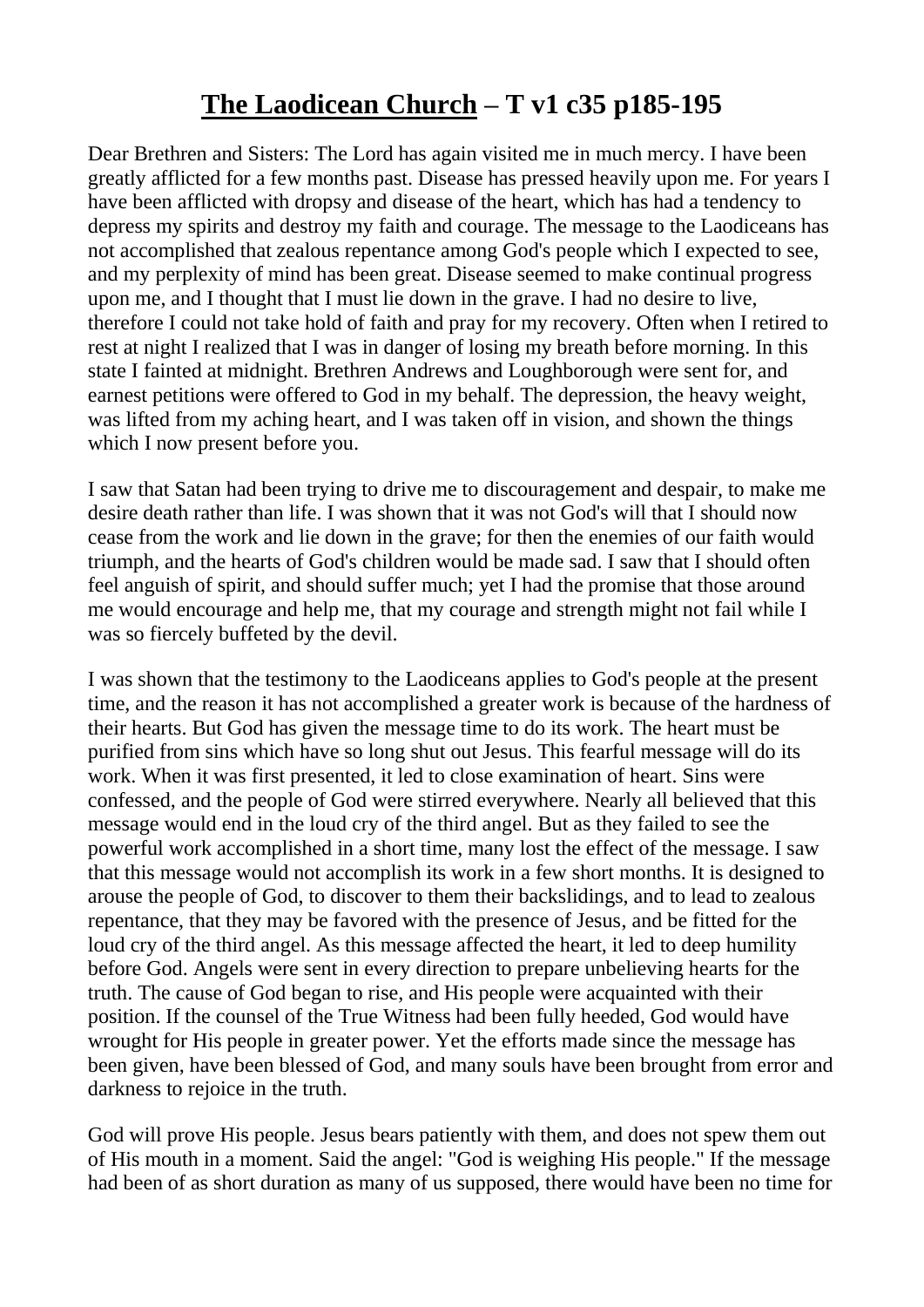## **The Laodicean Church – T v1 c35 p185-195**

Dear Brethren and Sisters: The Lord has again visited me in much mercy. I have been greatly afflicted for a few months past. Disease has pressed heavily upon me. For years I have been afflicted with dropsy and disease of the heart, which has had a tendency to depress my spirits and destroy my faith and courage. The message to the Laodiceans has not accomplished that zealous repentance among God's people which I expected to see, and my perplexity of mind has been great. Disease seemed to make continual progress upon me, and I thought that I must lie down in the grave. I had no desire to live, therefore I could not take hold of faith and pray for my recovery. Often when I retired to rest at night I realized that I was in danger of losing my breath before morning. In this state I fainted at midnight. Brethren Andrews and Loughborough were sent for, and earnest petitions were offered to God in my behalf. The depression, the heavy weight, was lifted from my aching heart, and I was taken off in vision, and shown the things which I now present before you.

I saw that Satan had been trying to drive me to discouragement and despair, to make me desire death rather than life. I was shown that it was not God's will that I should now cease from the work and lie down in the grave; for then the enemies of our faith would triumph, and the hearts of God's children would be made sad. I saw that I should often feel anguish of spirit, and should suffer much; yet I had the promise that those around me would encourage and help me, that my courage and strength might not fail while I was so fiercely buffeted by the devil.

I was shown that the testimony to the Laodiceans applies to God's people at the present time, and the reason it has not accomplished a greater work is because of the hardness of their hearts. But God has given the message time to do its work. The heart must be purified from sins which have so long shut out Jesus. This fearful message will do its work. When it was first presented, it led to close examination of heart. Sins were confessed, and the people of God were stirred everywhere. Nearly all believed that this message would end in the loud cry of the third angel. But as they failed to see the powerful work accomplished in a short time, many lost the effect of the message. I saw that this message would not accomplish its work in a few short months. It is designed to arouse the people of God, to discover to them their backslidings, and to lead to zealous repentance, that they may be favored with the presence of Jesus, and be fitted for the loud cry of the third angel. As this message affected the heart, it led to deep humility before God. Angels were sent in every direction to prepare unbelieving hearts for the truth. The cause of God began to rise, and His people were acquainted with their position. If the counsel of the True Witness had been fully heeded, God would have wrought for His people in greater power. Yet the efforts made since the message has been given, have been blessed of God, and many souls have been brought from error and darkness to rejoice in the truth.

God will prove His people. Jesus bears patiently with them, and does not spew them out of His mouth in a moment. Said the angel: "God is weighing His people." If the message had been of as short duration as many of us supposed, there would have been no time for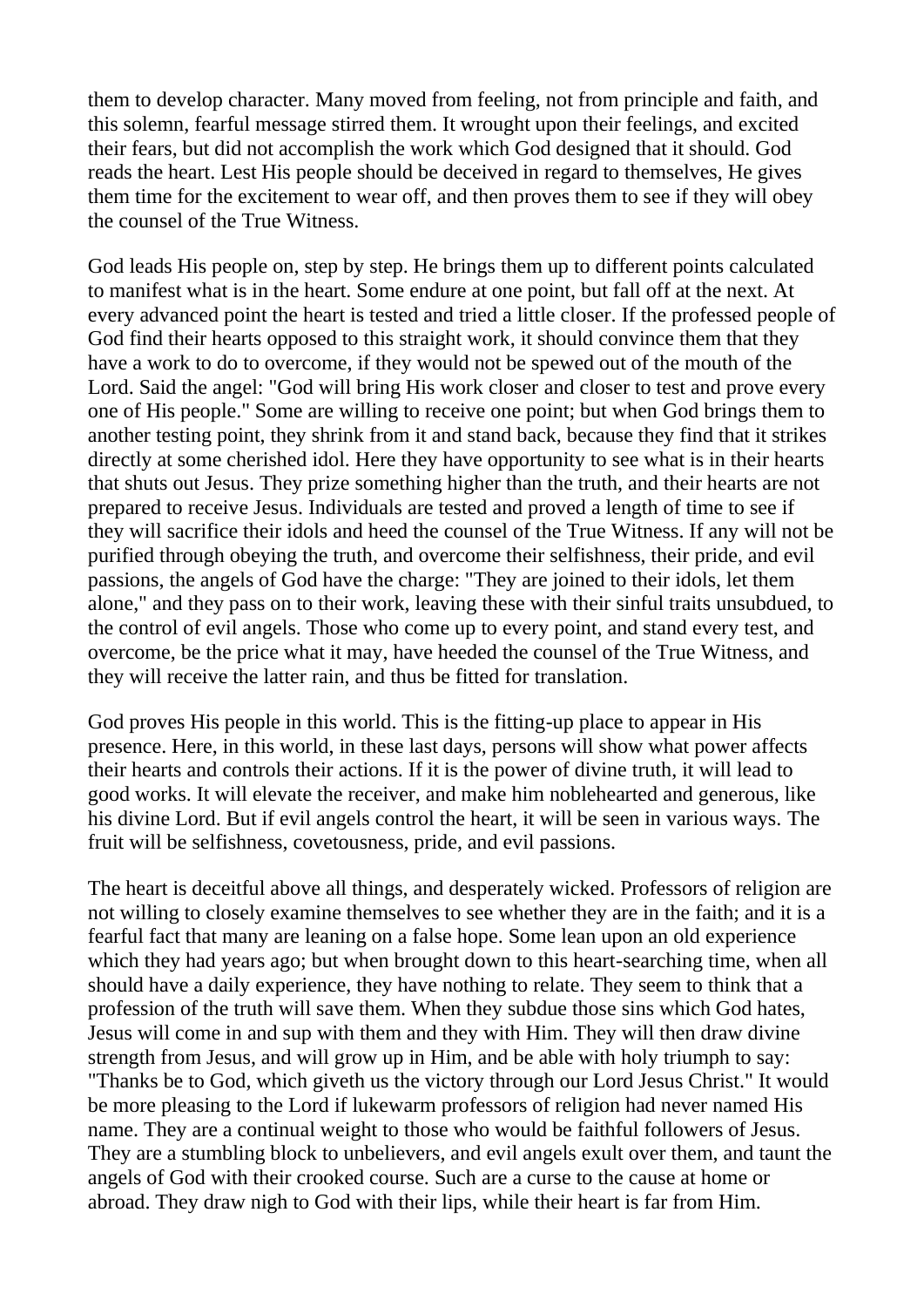them to develop character. Many moved from feeling, not from principle and faith, and this solemn, fearful message stirred them. It wrought upon their feelings, and excited their fears, but did not accomplish the work which God designed that it should. God reads the heart. Lest His people should be deceived in regard to themselves, He gives them time for the excitement to wear off, and then proves them to see if they will obey the counsel of the True Witness.

God leads His people on, step by step. He brings them up to different points calculated to manifest what is in the heart. Some endure at one point, but fall off at the next. At every advanced point the heart is tested and tried a little closer. If the professed people of God find their hearts opposed to this straight work, it should convince them that they have a work to do to overcome, if they would not be spewed out of the mouth of the Lord. Said the angel: "God will bring His work closer and closer to test and prove every one of His people." Some are willing to receive one point; but when God brings them to another testing point, they shrink from it and stand back, because they find that it strikes directly at some cherished idol. Here they have opportunity to see what is in their hearts that shuts out Jesus. They prize something higher than the truth, and their hearts are not prepared to receive Jesus. Individuals are tested and proved a length of time to see if they will sacrifice their idols and heed the counsel of the True Witness. If any will not be purified through obeying the truth, and overcome their selfishness, their pride, and evil passions, the angels of God have the charge: "They are joined to their idols, let them alone," and they pass on to their work, leaving these with their sinful traits unsubdued, to the control of evil angels. Those who come up to every point, and stand every test, and overcome, be the price what it may, have heeded the counsel of the True Witness, and they will receive the latter rain, and thus be fitted for translation.

God proves His people in this world. This is the fitting-up place to appear in His presence. Here, in this world, in these last days, persons will show what power affects their hearts and controls their actions. If it is the power of divine truth, it will lead to good works. It will elevate the receiver, and make him noblehearted and generous, like his divine Lord. But if evil angels control the heart, it will be seen in various ways. The fruit will be selfishness, covetousness, pride, and evil passions.

The heart is deceitful above all things, and desperately wicked. Professors of religion are not willing to closely examine themselves to see whether they are in the faith; and it is a fearful fact that many are leaning on a false hope. Some lean upon an old experience which they had years ago; but when brought down to this heart-searching time, when all should have a daily experience, they have nothing to relate. They seem to think that a profession of the truth will save them. When they subdue those sins which God hates, Jesus will come in and sup with them and they with Him. They will then draw divine strength from Jesus, and will grow up in Him, and be able with holy triumph to say: "Thanks be to God, which giveth us the victory through our Lord Jesus Christ." It would be more pleasing to the Lord if lukewarm professors of religion had never named His name. They are a continual weight to those who would be faithful followers of Jesus. They are a stumbling block to unbelievers, and evil angels exult over them, and taunt the angels of God with their crooked course. Such are a curse to the cause at home or abroad. They draw nigh to God with their lips, while their heart is far from Him.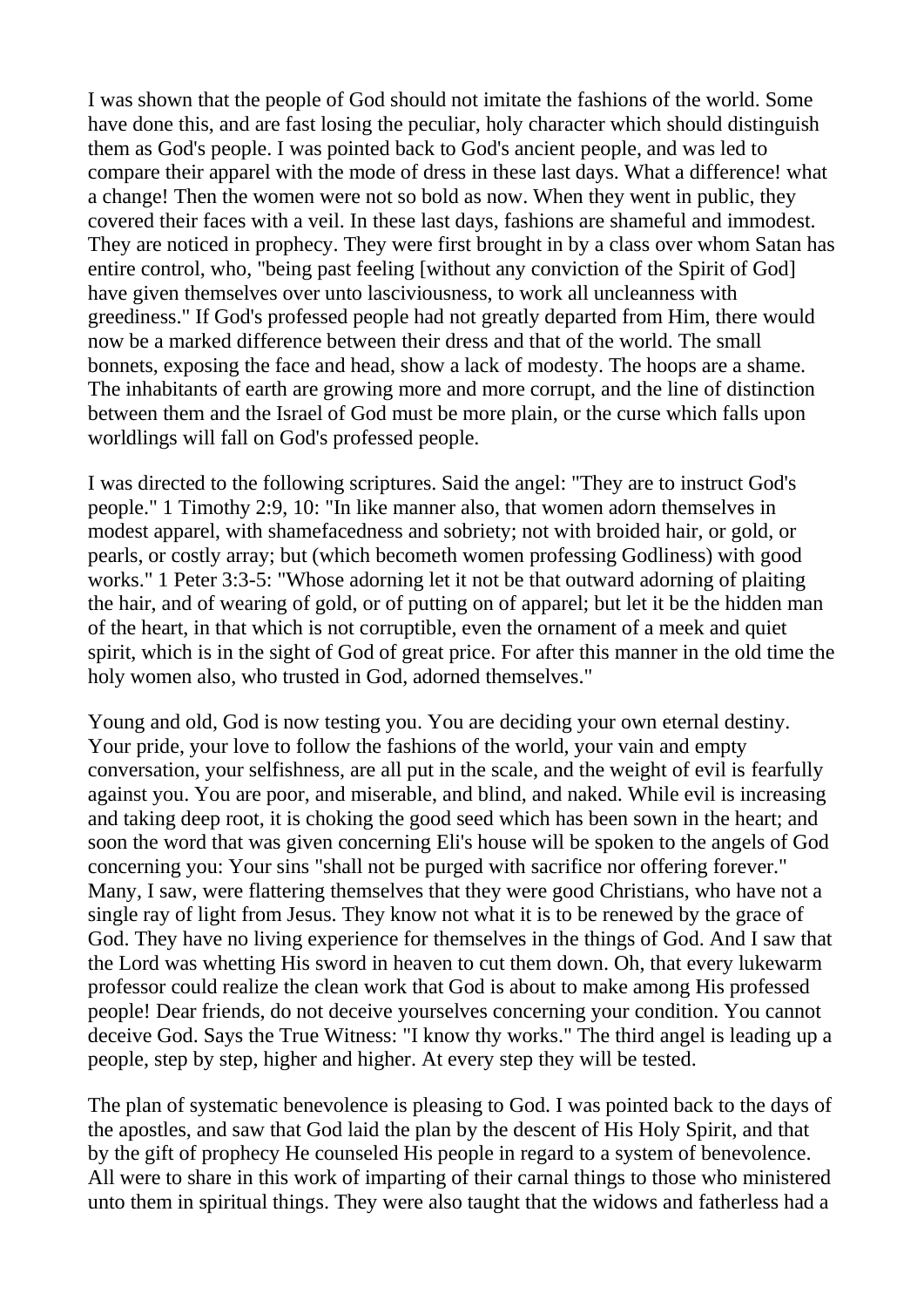I was shown that the people of God should not imitate the fashions of the world. Some have done this, and are fast losing the peculiar, holy character which should distinguish them as God's people. I was pointed back to God's ancient people, and was led to compare their apparel with the mode of dress in these last days. What a difference! what a change! Then the women were not so bold as now. When they went in public, they covered their faces with a veil. In these last days, fashions are shameful and immodest. They are noticed in prophecy. They were first brought in by a class over whom Satan has entire control, who, "being past feeling [without any conviction of the Spirit of God] have given themselves over unto lasciviousness, to work all uncleanness with greediness." If God's professed people had not greatly departed from Him, there would now be a marked difference between their dress and that of the world. The small bonnets, exposing the face and head, show a lack of modesty. The hoops are a shame. The inhabitants of earth are growing more and more corrupt, and the line of distinction between them and the Israel of God must be more plain, or the curse which falls upon worldlings will fall on God's professed people.

I was directed to the following scriptures. Said the angel: "They are to instruct God's people." 1 Timothy 2:9, 10: "In like manner also, that women adorn themselves in modest apparel, with shamefacedness and sobriety; not with broided hair, or gold, or pearls, or costly array; but (which becometh women professing Godliness) with good works." 1 Peter 3:3-5: "Whose adorning let it not be that outward adorning of plaiting the hair, and of wearing of gold, or of putting on of apparel; but let it be the hidden man of the heart, in that which is not corruptible, even the ornament of a meek and quiet spirit, which is in the sight of God of great price. For after this manner in the old time the holy women also, who trusted in God, adorned themselves."

Young and old, God is now testing you. You are deciding your own eternal destiny. Your pride, your love to follow the fashions of the world, your vain and empty conversation, your selfishness, are all put in the scale, and the weight of evil is fearfully against you. You are poor, and miserable, and blind, and naked. While evil is increasing and taking deep root, it is choking the good seed which has been sown in the heart; and soon the word that was given concerning Eli's house will be spoken to the angels of God concerning you: Your sins "shall not be purged with sacrifice nor offering forever." Many, I saw, were flattering themselves that they were good Christians, who have not a single ray of light from Jesus. They know not what it is to be renewed by the grace of God. They have no living experience for themselves in the things of God. And I saw that the Lord was whetting His sword in heaven to cut them down. Oh, that every lukewarm professor could realize the clean work that God is about to make among His professed people! Dear friends, do not deceive yourselves concerning your condition. You cannot deceive God. Says the True Witness: "I know thy works." The third angel is leading up a people, step by step, higher and higher. At every step they will be tested.

The plan of systematic benevolence is pleasing to God. I was pointed back to the days of the apostles, and saw that God laid the plan by the descent of His Holy Spirit, and that by the gift of prophecy He counseled His people in regard to a system of benevolence. All were to share in this work of imparting of their carnal things to those who ministered unto them in spiritual things. They were also taught that the widows and fatherless had a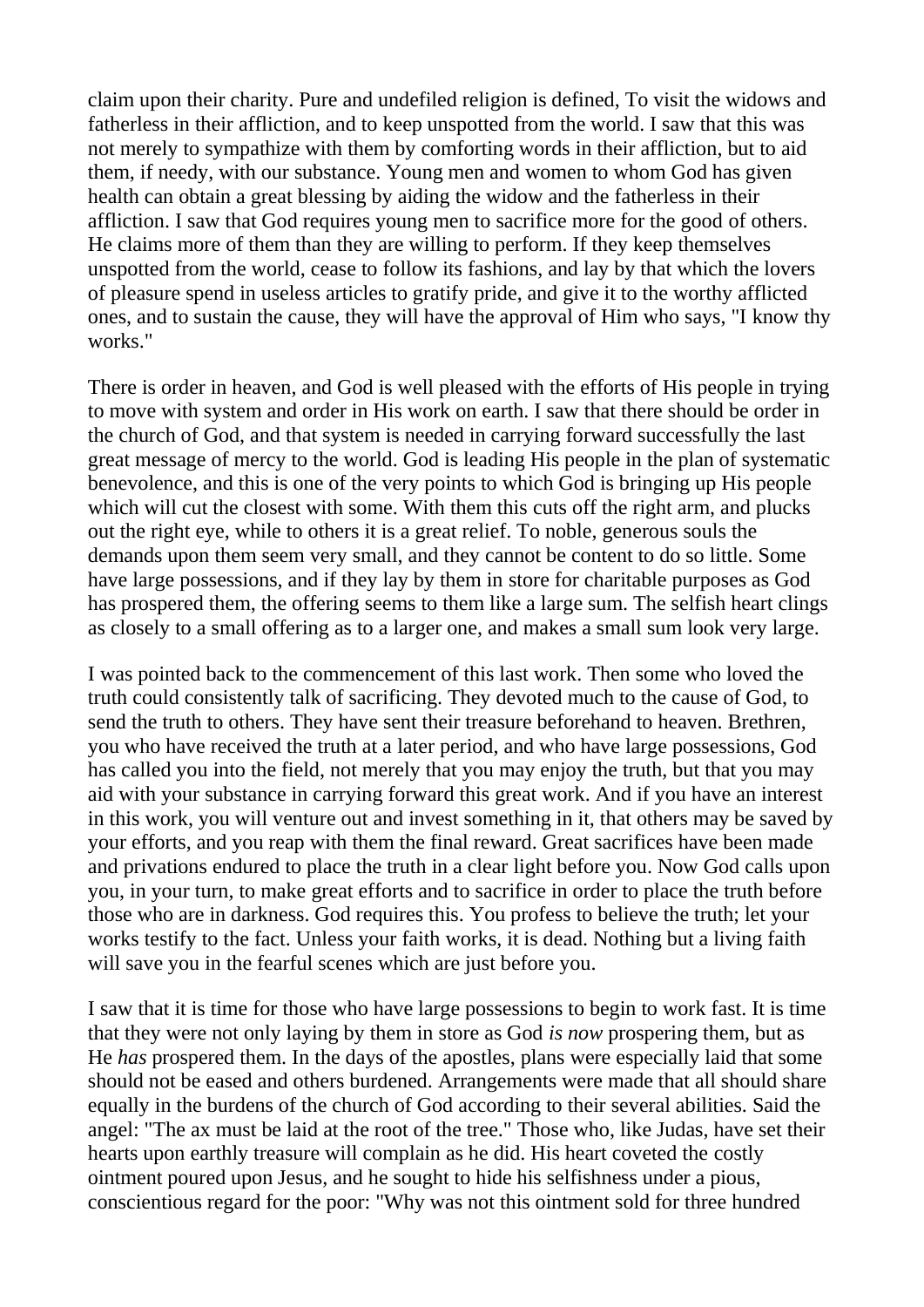claim upon their charity. Pure and undefiled religion is defined, To visit the widows and fatherless in their affliction, and to keep unspotted from the world. I saw that this was not merely to sympathize with them by comforting words in their affliction, but to aid them, if needy, with our substance. Young men and women to whom God has given health can obtain a great blessing by aiding the widow and the fatherless in their affliction. I saw that God requires young men to sacrifice more for the good of others. He claims more of them than they are willing to perform. If they keep themselves unspotted from the world, cease to follow its fashions, and lay by that which the lovers of pleasure spend in useless articles to gratify pride, and give it to the worthy afflicted ones, and to sustain the cause, they will have the approval of Him who says, "I know thy works."

There is order in heaven, and God is well pleased with the efforts of His people in trying to move with system and order in His work on earth. I saw that there should be order in the church of God, and that system is needed in carrying forward successfully the last great message of mercy to the world. God is leading His people in the plan of systematic benevolence, and this is one of the very points to which God is bringing up His people which will cut the closest with some. With them this cuts off the right arm, and plucks out the right eye, while to others it is a great relief. To noble, generous souls the demands upon them seem very small, and they cannot be content to do so little. Some have large possessions, and if they lay by them in store for charitable purposes as God has prospered them, the offering seems to them like a large sum. The selfish heart clings as closely to a small offering as to a larger one, and makes a small sum look very large.

I was pointed back to the commencement of this last work. Then some who loved the truth could consistently talk of sacrificing. They devoted much to the cause of God, to send the truth to others. They have sent their treasure beforehand to heaven. Brethren, you who have received the truth at a later period, and who have large possessions, God has called you into the field, not merely that you may enjoy the truth, but that you may aid with your substance in carrying forward this great work. And if you have an interest in this work, you will venture out and invest something in it, that others may be saved by your efforts, and you reap with them the final reward. Great sacrifices have been made and privations endured to place the truth in a clear light before you. Now God calls upon you, in your turn, to make great efforts and to sacrifice in order to place the truth before those who are in darkness. God requires this. You profess to believe the truth; let your works testify to the fact. Unless your faith works, it is dead. Nothing but a living faith will save you in the fearful scenes which are just before you.

I saw that it is time for those who have large possessions to begin to work fast. It is time that they were not only laying by them in store as God *is now* prospering them, but as He *has* prospered them. In the days of the apostles, plans were especially laid that some should not be eased and others burdened. Arrangements were made that all should share equally in the burdens of the church of God according to their several abilities. Said the angel: "The ax must be laid at the root of the tree." Those who, like Judas, have set their hearts upon earthly treasure will complain as he did. His heart coveted the costly ointment poured upon Jesus, and he sought to hide his selfishness under a pious, conscientious regard for the poor: "Why was not this ointment sold for three hundred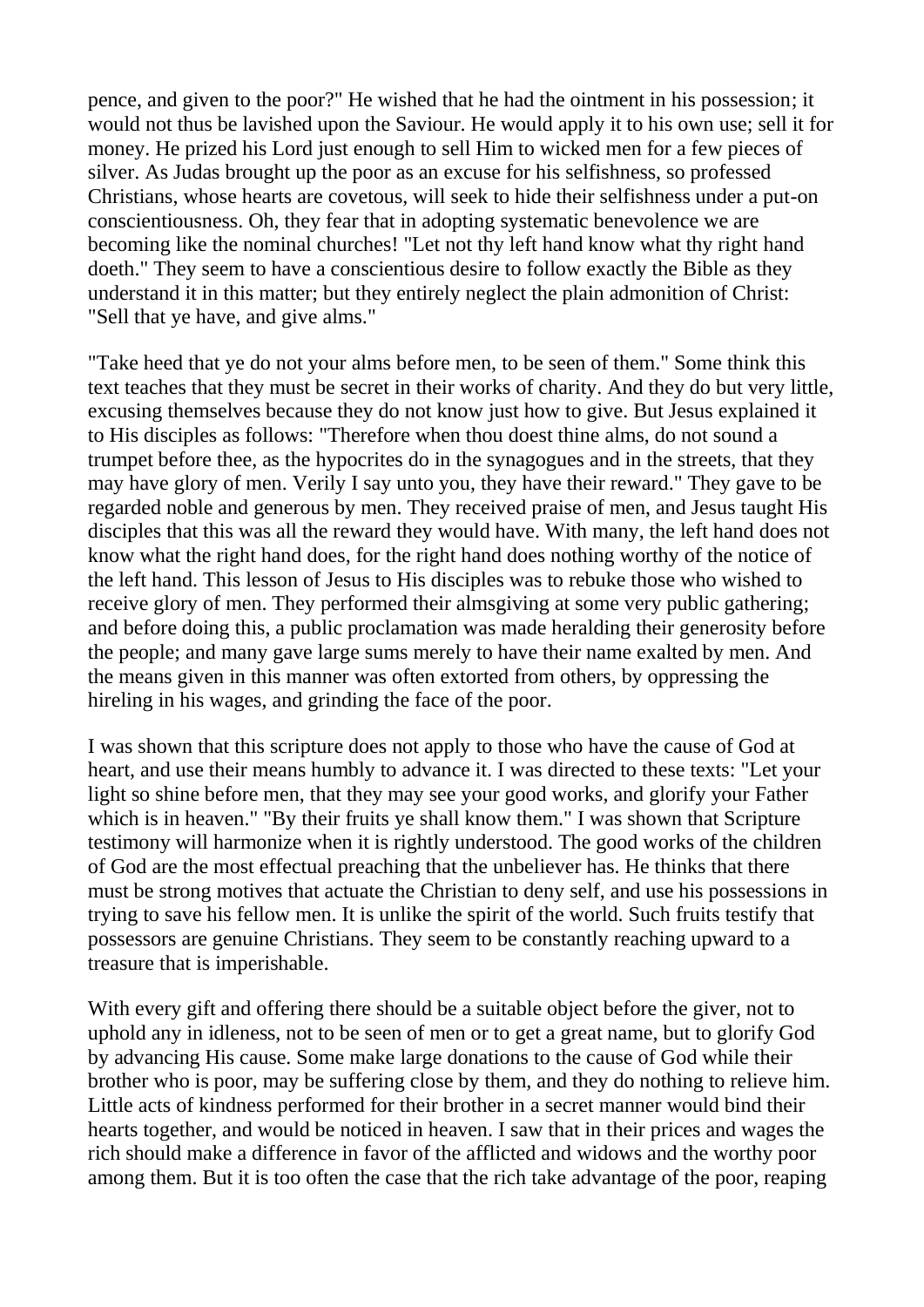pence, and given to the poor?" He wished that he had the ointment in his possession; it would not thus be lavished upon the Saviour. He would apply it to his own use; sell it for money. He prized his Lord just enough to sell Him to wicked men for a few pieces of silver. As Judas brought up the poor as an excuse for his selfishness, so professed Christians, whose hearts are covetous, will seek to hide their selfishness under a put-on conscientiousness. Oh, they fear that in adopting systematic benevolence we are becoming like the nominal churches! "Let not thy left hand know what thy right hand doeth." They seem to have a conscientious desire to follow exactly the Bible as they understand it in this matter; but they entirely neglect the plain admonition of Christ: "Sell that ye have, and give alms."

"Take heed that ye do not your alms before men, to be seen of them." Some think this text teaches that they must be secret in their works of charity. And they do but very little, excusing themselves because they do not know just how to give. But Jesus explained it to His disciples as follows: "Therefore when thou doest thine alms, do not sound a trumpet before thee, as the hypocrites do in the synagogues and in the streets, that they may have glory of men. Verily I say unto you, they have their reward." They gave to be regarded noble and generous by men. They received praise of men, and Jesus taught His disciples that this was all the reward they would have. With many, the left hand does not know what the right hand does, for the right hand does nothing worthy of the notice of the left hand. This lesson of Jesus to His disciples was to rebuke those who wished to receive glory of men. They performed their almsgiving at some very public gathering; and before doing this, a public proclamation was made heralding their generosity before the people; and many gave large sums merely to have their name exalted by men. And the means given in this manner was often extorted from others, by oppressing the hireling in his wages, and grinding the face of the poor.

I was shown that this scripture does not apply to those who have the cause of God at heart, and use their means humbly to advance it. I was directed to these texts: "Let your light so shine before men, that they may see your good works, and glorify your Father which is in heaven." "By their fruits ye shall know them." I was shown that Scripture testimony will harmonize when it is rightly understood. The good works of the children of God are the most effectual preaching that the unbeliever has. He thinks that there must be strong motives that actuate the Christian to deny self, and use his possessions in trying to save his fellow men. It is unlike the spirit of the world. Such fruits testify that possessors are genuine Christians. They seem to be constantly reaching upward to a treasure that is imperishable.

With every gift and offering there should be a suitable object before the giver, not to uphold any in idleness, not to be seen of men or to get a great name, but to glorify God by advancing His cause. Some make large donations to the cause of God while their brother who is poor, may be suffering close by them, and they do nothing to relieve him. Little acts of kindness performed for their brother in a secret manner would bind their hearts together, and would be noticed in heaven. I saw that in their prices and wages the rich should make a difference in favor of the afflicted and widows and the worthy poor among them. But it is too often the case that the rich take advantage of the poor, reaping